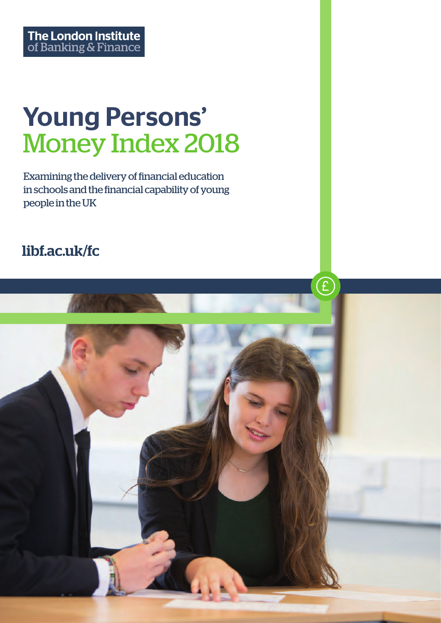# Young Persons' Money Index 2018

Examining the delivery of financial education in schools and the financial capability of young people in the UK

# libf.ac.uk/fc

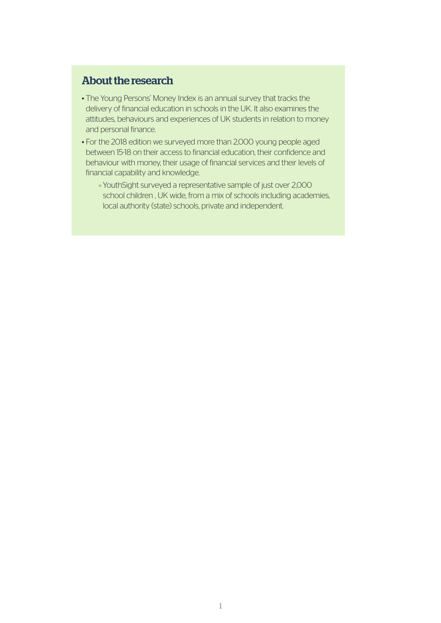### About the research

- The Young Persons' Money Index is an annual survey that tracks the delivery of financial education in schools in the UK. It also examines the attitudes, behaviours and experiences of UK students in relation to money and personal finance.
- For the 2018 edition we surveyed more than 2,000 young people aged between 15-18 on their access to financial education, their confidence and behaviour with money, their usage of financial services and their levels of financial capability and knowledge.
	- [YouthSight](http://www.youthsight.com/) surveyed a representative sample of just over 2,000 school children , UK wide, from a mix of schools including academies, local authority (state) schools, private and independent.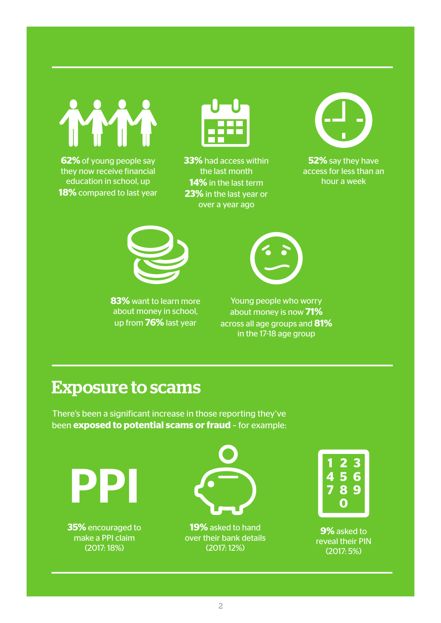**YM** 

**62%** of young people say they now receive financial education in school, up **18%** compared to last year



**33%** had access within the last month **14%** in the last term **23%** in the last year or over a year ago



**52%** say they have access for less than an hour a week



**83%** want to learn more about money in school, up from **76%** last year



Young people who worry about money is now **71%** across all age groups and **81%** in the 17-18 age group

# Exposure to scams

There's been a significant increase in those reporting they've been **exposed to potential scams or fraud** – for example:

PPI

**35%** encouraged to make a PPI claim (2017: 18%)



**19%** asked to hand over their bank details (2017: 12%)



**9%** asked to reveal their PIN (2017: 5%)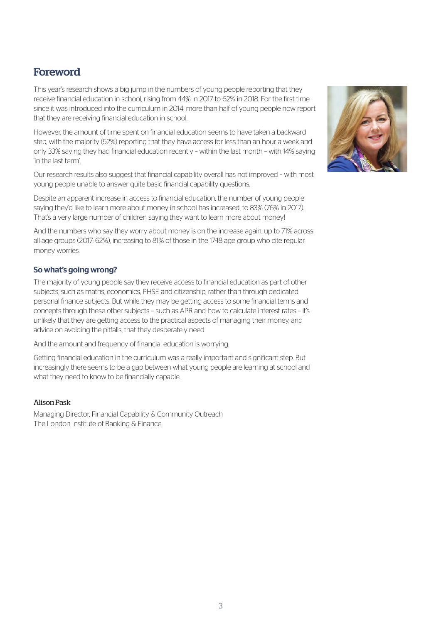# **Foreword**

This year's research shows a big jump in the numbers of young people reporting that they receive financial education in school, rising from 44% in 2017 to 62% in 2018. For the first time since it was introduced into the curriculum in 2014, more than half of young people now report that they are receiving financial education in school.

However, the amount of time spent on financial education seems to have taken a backward step, with the majority (52%) reporting that they have access for less than an hour a week and only 33% saying they had financial education recently – within the last month – with 14% saying 'in the last term'.

Our research results also suggest that financial capability overall has not improved – with most young people unable to answer quite basic financial capability questions.

Despite an apparent increase in access to financial education, the number of young people saying they'd like to learn more about money in school has increased, to 83% (76% in 2017). That's a very large number of children saying they want to learn more about money!

And the numbers who say they worry about money is on the increase again, up to 71% across all age groups (2017: 62%), increasing to 81% of those in the 17-18 age group who cite regular money worries.

#### So what's going wrong?

The majority of young people say they receive access to financial education as part of other subjects, such as maths, economics, PHSE and citizenship, rather than through dedicated personal finance subjects. But while they may be getting access to some financial terms and concepts through these other subjects – such as APR and how to calculate interest rates – it's unlikely that they are getting access to the practical aspects of managing their money, and advice on avoiding the pitfalls, that they desperately need.

And the amount and frequency of financial education is worrying.

Getting financial education in the curriculum was a really important and significant step. But increasingly there seems to be a gap between what young people are learning at school and what they need to know to be financially capable.

#### Alison Pask

Managing Director, Financial Capability & Community Outreach The London Institute of Banking & Finance

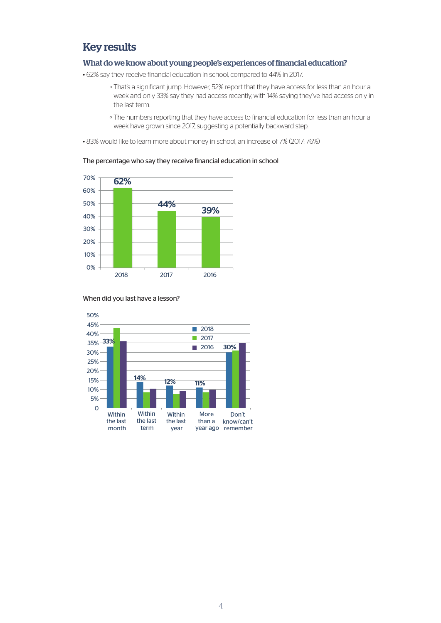### Key results

#### What do we know about young people's experiences of financial education?

• 62% say they receive financial education in school, compared to 44% in 2017.

- That's a significant jump. However, 52% report that they have access for less than an hour a week and only 33% say they had access recently, with 14% saying they've had access only in the last term.
- The numbers reporting that they have access to financial education for less than an hour a week have grown since 2017, suggesting a potentially backward step.

• 83% would like to learn more about money in school, an increase of 7% (2017: 76%)



#### The percentage who say they receive financial education in school



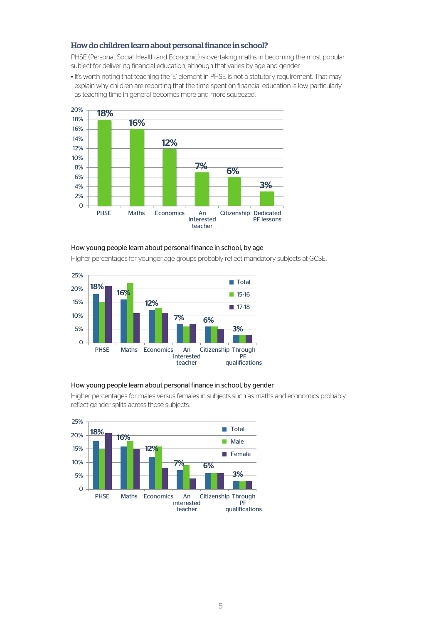#### How do children learn about personal finance in school?

PHSE (Personal, Social, Health and Economic) is overtaking maths in becoming the most popular subject for delivering financial education, although that varies by age and gender.

• It's worth noting that teaching the 'E' element in PHSE is not a statutory requirement. That may explain why children are reporting that the time spent on financial education is low, particularly as teaching time in general becomes more and more squeezed.



#### How young people learn about personal finance in school, by age

Higher percentages for younger age groups probably reflect mandatory subjects at GCSE.



#### How young people learn about personal finance in school, by gender

Higher percentages for males versus females in subjects such as maths and economics probably reflect gender splits across those subjects.

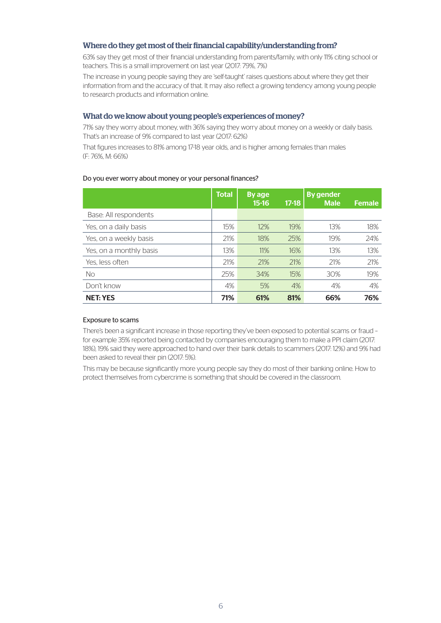#### Where do they get most of their financial capability/understanding from?

63% say they get most of their financial understanding from parents/family, with only 11% citing school or teachers. This is a small improvement on last year (2017: 79%, 7%)

The increase in young people saying they are 'self-taught' raises questions about where they get their information from and the accuracy of that. It may also reflect a growing tendency among young people to research products and information online.

#### What do we know about young people's experiences of money?

71% say they worry about money, with 36% saying they worry about money on a weekly or daily basis. That's an increase of 9% compared to last year (2017: 62%)

That figures increases to 81% among 17-18 year olds, and is higher among females than males (F: 76%, M: 66%)

#### Total By age 15-16 17-18 By gender Male Female Base: All respondents Yes, on a daily basis 15% 12% 19% 13% 18% Yes, on a weekly basis **18% 18% 25% 19%** 24% Yes, on a monthly basis 13% 13% 11% 16% 13% 13% 13% Yes, less often 21% 21% 21% 21% 21% No 25% 34% 15% 30% 19%

#### Do you ever worry about money or your personal finances?

#### Exposure to scams

There's been a significant increase in those reporting they've been exposed to potential scams or fraud – for example 35% reported being contacted by companies encouraging them to make a PPI claim (2017: 18%), 19% said they were approached to hand over their bank details to scammers (2017: 12%) and 9% had been asked to reveal their pin (2017: 5%).

Don't know 4% 5% 4% 4% 4% NET: YES 71% 61% 81% 66% 76%

This may be because significantly more young people say they do most of their banking online. How to protect themselves from cybercrime is something that should be covered in the classroom.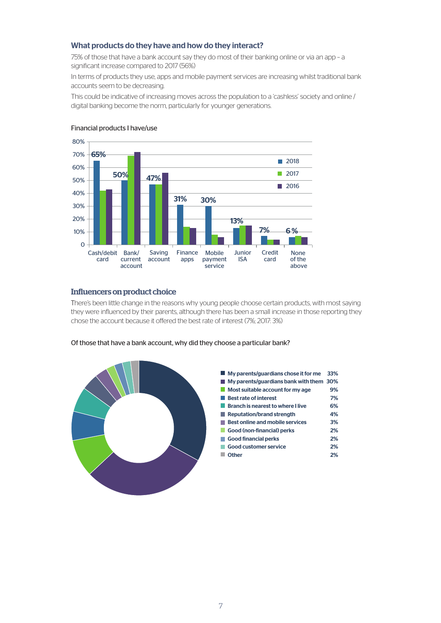#### What products do they have and how do they interact?

75% of those that have a bank account say they do most of their banking online or via an app – a significant increase compared to 2017 (56%)

In terms of products they use, apps and mobile payment services are increasing whilst traditional bank accounts seem to be decreasing.

This could be indicative of increasing moves across the population to a 'cashless' society and online / digital banking become the norm, particularly for younger generations.



#### Financial products I have/use

#### Influencers on product choice

There's been little change in the reasons why young people choose certain products, with most saying they were influenced by their parents, although there has been a small increase in those reporting they chose the account because it offered the best rate of interest (7%; 2017: 3%)



#### Of those that have a bank account, why did they choose a particular bank?

| $\blacksquare$ My parents/guardians chose it for me | 33% |
|-----------------------------------------------------|-----|
| My parents/guardians bank with them 30%<br>H.       |     |
| Most suitable account for my age                    | 9%  |
| <b>Best rate of interest</b>                        | 7%  |
| <b>Branch is nearest to where I live</b>            | 6%  |
| Reputation/brand strength                           | 4%  |
| <b>Best online and mobile services</b>              | 3%  |
| Good (non-financial) perks                          | 2%  |
| $\blacksquare$ Good financial perks                 | 2%  |
| <b>Good customer service</b>                        | 2%  |
| <b>■ Other</b>                                      | 2%  |
|                                                     |     |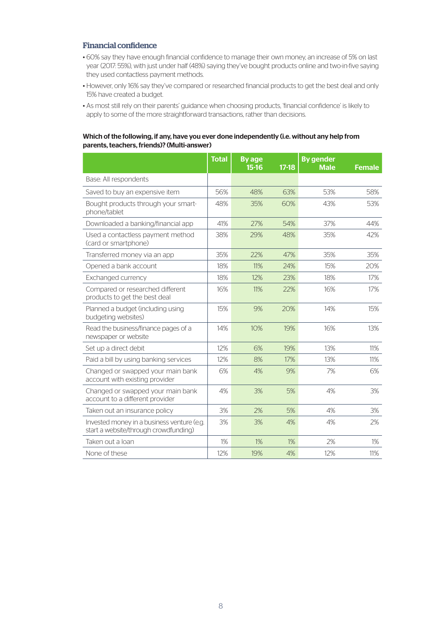#### Financial confidence

- 60% say they have enough financial confidence to manage their own money, an increase of 5% on last year (2017: 55%), with just under half (48%) saying they've bought products online and two-in-five saying they used contactless payment methods.
- However, only 16% say they've compared or researched financial products to get the best deal and only 15% have created a budget.
- As most still rely on their parents' guidance when choosing products, 'financial confidence' is likely to apply to some of the more straightforward transactions, rather than decisions.

#### Which of the following, if any, have you ever done independently (i.e. without any help from parents, teachers, friends)? (Multi-answer)

|                                                                                     | <b>Total</b> | <b>By age</b><br>$15-16$ | $17-18$ | <b>By gender</b><br><b>Male</b> | <b>Female</b> |
|-------------------------------------------------------------------------------------|--------------|--------------------------|---------|---------------------------------|---------------|
| Base: All respondents                                                               |              |                          |         |                                 |               |
| Saved to buy an expensive item                                                      | 56%          | 48%                      | 63%     | 53%                             | 58%           |
| Bought products through your smart-<br>phone/tablet                                 | 48%          | 35%                      | 60%     | 43%                             | 53%           |
| Downloaded a banking/financial app                                                  | 41%          | 27%                      | 54%     | 37%                             | 44%           |
| Used a contactless payment method<br>(card or smartphone)                           | 38%          | 29%                      | 48%     | 35%                             | 42%           |
| Transferred money via an app                                                        | 35%          | 22%                      | 47%     | 35%                             | 35%           |
| Opened a bank account                                                               | 18%          | 11%                      | 24%     | 15%                             | 20%           |
| Exchanged currency                                                                  | 18%          | 12%                      | 23%     | 18%                             | 17%           |
| Compared or researched different<br>products to get the best deal                   | 16%          | 11%                      | 22%     | 16%                             | 17%           |
| Planned a budget (including using<br>budgeting websites)                            | 15%          | 9%                       | 20%     | 14%                             | 15%           |
| Read the business/finance pages of a<br>newspaper or website                        | 14%          | 10%                      | 19%     | 16%                             | 13%           |
| Set up a direct debit                                                               | 12%          | 6%                       | 19%     | 13%                             | 11%           |
| Paid a bill by using banking services                                               | 12%          | 8%                       | 17%     | 13%                             | 11%           |
| Changed or swapped your main bank<br>account with existing provider                 | 6%           | 4%                       | 9%      | 7%                              | 6%            |
| Changed or swapped your main bank<br>account to a different provider                | 4%           | 3%                       | 5%      | 4%                              | 3%            |
| Taken out an insurance policy                                                       | 3%           | 2%                       | 5%      | 4%                              | 3%            |
| Invested money in a business venture (e.g.<br>start a website/through crowdfunding) | 3%           | 3%                       | 4%      | 4%                              | 2%            |
| Taken out a loan                                                                    | 1%           | 1%                       | 1%      | 2%                              | $1\%$         |
| None of these                                                                       | 12%          | 19%                      | 4%      | 12%                             | 11%           |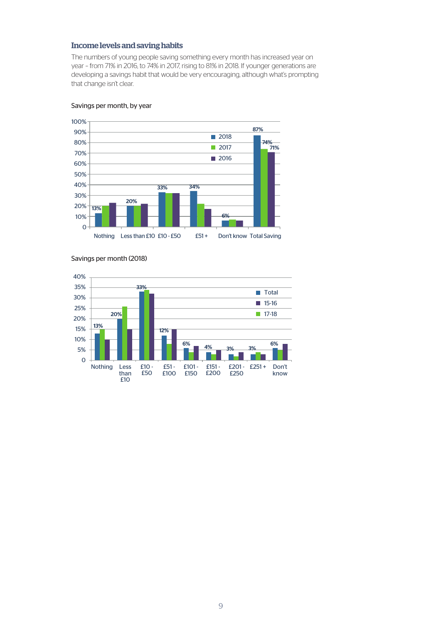#### Income levels and saving habits

The numbers of young people saving something every month has increased year on year – from 71% in 2016, to 74% in 2017, rising to 81% in 2018. If younger generations are developing a savings habit that would be very encouraging, although what's prompting that change isn't clear.



#### Savings per month, by year



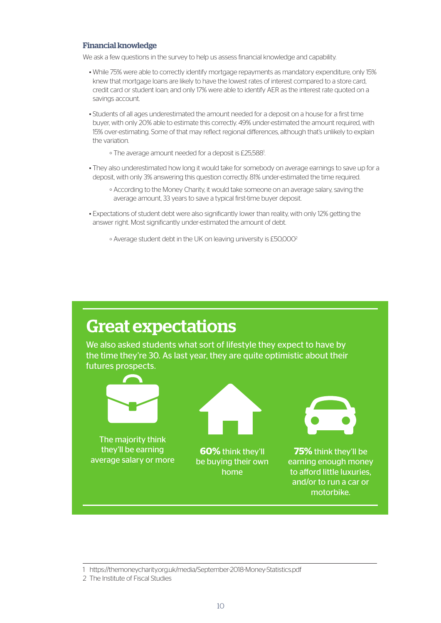#### Financial knowledge

We ask a few questions in the survey to help us assess financial knowledge and capability.

- While 75% were able to correctly identify mortgage repayments as mandatory expenditure, only 15% knew that mortgage loans are likely to have the lowest rates of interest compared to a store card, credit card or student loan; and only 17% were able to identify AER as the interest rate quoted on a savings account.
- Students of all ages underestimated the amount needed for a deposit on a house for a first time buyer, with only 20% able to estimate this correctly. 49% under-estimated the amount required, with 15% over-estimating. Some of that may reflect regional differences, although that's unlikely to explain the variation.
	- The average amount needed for a deposit is £25,5881 .
- They also underestimated how long it would take for somebody on average earnings to save up for a deposit, with only 3% answering this question correctly. 81% under-estimated the time required.
	- According to the [Money Charity,](https://themoneycharity.org.uk/30-years-save-deposit/) it would take someone on an average salary, saving the average amount, 33 years to save a typical first-time buyer deposit.
- Expectations of student debt were also significantly lower than reality, with only 12% getting the answer right. Most significantly under-estimated the amount of debt.
	- Average student debt in the UK on leaving university is £50,0002



<sup>1</sup> <https://themoneycharity.org.uk/media/September-2018-Money-Statistics.pdf>

<sup>2</sup> [The Institute of Fiscal Studies](https://www.ifs.org.uk/publications/9334)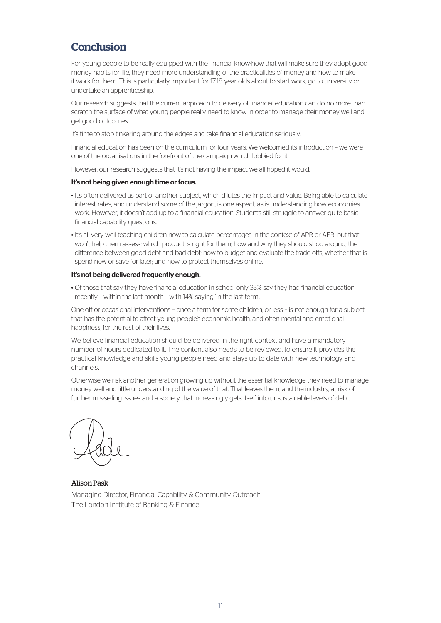## **Conclusion**

For young people to be really equipped with the financial know-how that will make sure they adopt good money habits for life, they need more understanding of the practicalities of money and how to make it work for them. This is particularly important for 17-18 year olds about to start work, go to university or undertake an apprenticeship.

Our research suggests that the current approach to delivery of financial education can do no more than scratch the surface of what young people really need to know in order to manage their money well and get good outcomes.

It's time to stop tinkering around the edges and take financial education seriously.

Financial education has been on the curriculum for four years. We welcomed its introduction – we were one of the organisations in the forefront of the campaign which lobbied for it.

However, our research suggests that it's not having the impact we all hoped it would.

#### It's not being given enough time or focus.

- It's often delivered as part of another subject, which dilutes the impact and value. Being able to calculate interest rates, and understand some of the jargon, is one aspect; as is understanding how economies work. However, it doesn't add up to a financial education. Students still struggle to answer quite basic financial capability questions.
- It's all very well teaching children how to calculate percentages in the context of APR or AER, but that won't help them assess: which product is right for them; how and why they should shop around; the difference between good debt and bad debt; how to budget and evaluate the trade-offs, whether that is spend now or save for later; and how to protect themselves online.

#### It's not being delivered frequently enough.

• Of those that say they have financial education in school only 33% say they had financial education recently – within the last month – with 14% saying 'in the last term'.

One off or occasional interventions – once a term for some children, or less – is not enough for a subject that has the potential to affect young people's economic health, and often mental and emotional happiness, for the rest of their lives.

We believe financial education should be delivered in the right context and have a mandatory number of hours dedicated to it. The content also needs to be reviewed, to ensure it provides the practical knowledge and skills young people need and stays up to date with new technology and channels.

Otherwise we risk another generation growing up without the essential knowledge they need to manage money well and little understanding of the value of that. That leaves them, and the industry, at risk of further mis-selling issues and a society that increasingly gets itself into unsustainable levels of debt.

Alison Pask Managing Director, Financial Capability & Community Outreach The London Institute of Banking & Finance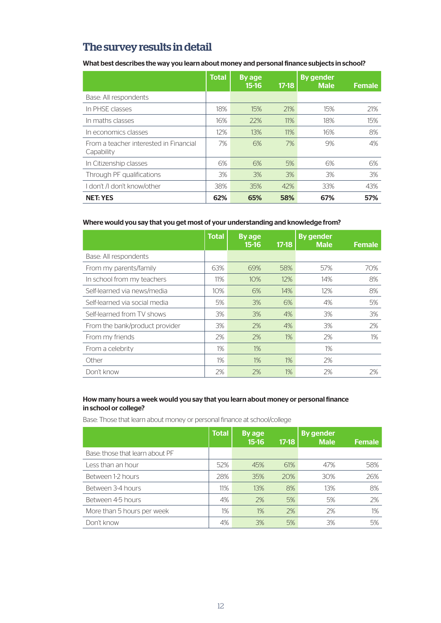# The survey results in detail

What best describes the way you learn about money and personal finance subjects in school?

|                                                      | <b>Total</b> | <b>By age</b><br>$15-16$ | $17-18$ | <b>By gender</b><br><b>Male</b> | <b>Female</b> |
|------------------------------------------------------|--------------|--------------------------|---------|---------------------------------|---------------|
| Base: All respondents                                |              |                          |         |                                 |               |
| In PHSE classes                                      | 18%          | 15%                      | 21%     | 15%                             | 21%           |
| In maths classes                                     | 16%          | 22%                      | 11%     | 18%                             | 15%           |
| In economics classes                                 | 12%          | 13%                      | 11%     | 16%                             | 8%            |
| From a teacher interested in Financial<br>Capability | 7%           | 6%                       | 7%      | 9%                              | 4%            |
| In Citizenship classes                               | 6%           | 6%                       | 5%      | 6%                              | 6%            |
| Through PF qualifications                            | 3%           | 3%                       | 3%      | 3%                              | 3%            |
| I don't /I don't know/other                          | 38%          | 35%                      | 42%     | 33%                             | 43%           |
| <b>NET: YES</b>                                      | 62%          | 65%                      | 58%     | 67%                             | 57%           |

#### Where would you say that you get most of your understanding and knowledge from?

|                                | <b>Total</b> | By age<br>$15-16$ | $17-18$ | <b>By gender</b><br><b>Male</b> | <b>Female</b> |
|--------------------------------|--------------|-------------------|---------|---------------------------------|---------------|
| Base: All respondents          |              |                   |         |                                 |               |
| From my parents/family         | 63%          | 69%               | 58%     | 57%                             | 70%           |
| In school from my teachers     | 11%          | 10%               | 12%     | 14%                             | 8%            |
| Self-learned via news/media    | 10%          | 6%                | 14%     | 12%                             | 8%            |
| Self-learned via social media  | 5%           | 3%                | 6%      | 4%                              | 5%            |
| Self-learned from TV shows     | 3%           | 3%                | 4%      | 3%                              | 3%            |
| From the bank/product provider | 3%           | 2%                | 4%      | 3%                              | 2%            |
| From my friends                | 2%           | 2%                | $1\%$   | 2%                              | 1%            |
| From a celebrity               | $1\%$        | 1%                |         | 1%                              |               |
| Other                          | 1%           | 1%                | $1\%$   | 2%                              |               |
| Don't know                     | 2%           | 2%                | 1%      | 2%                              | 2%            |

#### How many hours a week would you say that you learn about money or personal finance in school or college?

Base: Those that learn about money or personal finance at school/college

|                                 | <b>Total</b> | By age<br>$15 - 16$ | $17 - 18$ | <b>By gender</b><br><b>Male</b> | <b>Female</b> |
|---------------------------------|--------------|---------------------|-----------|---------------------------------|---------------|
| Base: those that learn about PF |              |                     |           |                                 |               |
| Less than an hour               | 52%          | 45%                 | 61%       | 47%                             | 58%           |
| Between 1-2 hours               | 28%          | 35%                 | 20%       | 30%                             | 26%           |
| Between 3-4 hours               | 11%          | 13%                 | 8%        | 13%                             | 8%            |
| Between 4-5 hours               | 4%           | 2%                  | 5%        | 5%                              | 2%            |
| More than 5 hours per week      | $1\%$        | 1%                  | 2%        | 2%                              | $1\%$         |
| Don't know                      | 4%           | 3%                  | 5%        | 3%                              | 5%            |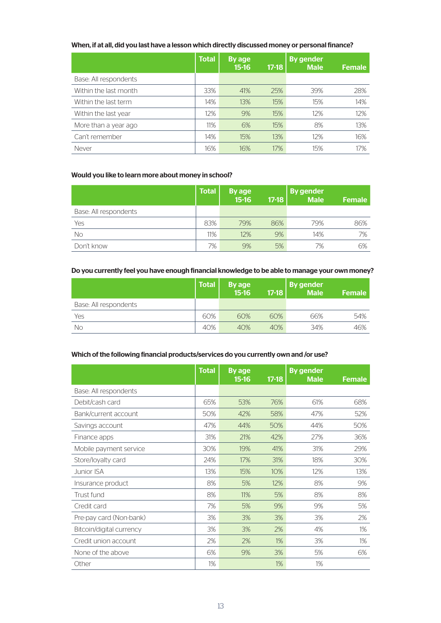#### When, if at all, did you last have a lesson which directly discussed money or personal finance?

|                       | <b>Total</b> | By age<br>$15 - 16$ | $17 - 18$ | <b>By gender</b><br><b>Male</b> | <b>Female</b> |
|-----------------------|--------------|---------------------|-----------|---------------------------------|---------------|
| Base: All respondents |              |                     |           |                                 |               |
| Within the last month | 33%          | 41%                 | 25%       | 39%                             | 28%           |
| Within the last term  | 14%          | 13%                 | 15%       | 15%                             | 14%           |
| Within the last year  | 12%          | 9%                  | 15%       | 12%                             | 12%           |
| More than a year ago  | 11%          | 6%                  | 15%       | 8%                              | 13%           |
| Can't remember        | 14%          | 15%                 | 13%       | 12%                             | 16%           |
| Never                 | 16%          | 16%                 | 17%       | 15%                             | 17%           |

#### Would you like to learn more about money in school?

|                       | <b>Total</b> | By age<br>$15 - 16$ | $17-18$ | <b>By gender</b><br><b>Male</b> | <b>Female</b> |
|-----------------------|--------------|---------------------|---------|---------------------------------|---------------|
| Base: All respondents |              |                     |         |                                 |               |
| Yes                   | 83%          | 79%                 | 86%     | 79%                             | 86%           |
| No                    | 11%          | 12%                 | 9%      | 14%                             | 7%            |
| Don't know            | 7%           | 9%                  | 5%      | 7%                              | 6%            |

#### Do you currently feel you have enough financial knowledge to be able to manage your own money?

|                       | <b>Total</b> | By age<br>15-16 | $17-18$ | <b>By gender</b><br><b>Male</b> | <b>Female</b> |
|-----------------------|--------------|-----------------|---------|---------------------------------|---------------|
| Base: All respondents |              |                 |         |                                 |               |
| Yes                   | 60%          | 60%             | 60%     | 66%                             | 54%           |
| No                    | 40%          | 40%             | 40%     | 34%                             | 46%           |

#### Which of the following financial products/services do you currently own and /or use?

|                          | <b>Total</b> | <b>By age</b><br>$15 - 16$ | $17 - 18$ | <b>By gender</b><br><b>Male</b> | <b>Female</b> |
|--------------------------|--------------|----------------------------|-----------|---------------------------------|---------------|
| Base: All respondents    |              |                            |           |                                 |               |
| Debit/cash card          | 65%          | 53%                        | 76%       | 61%                             | 68%           |
| Bank/current account     | 50%          | 42%                        | 58%       | 47%                             | 52%           |
| Savings account          | 47%          | 44%                        | 50%       | 44%                             | 50%           |
| Finance apps             | 31%          | 21%                        | 42%       | 27%                             | 36%           |
| Mobile payment service   | 30%          | 19%                        | 41%       | 31%                             | 29%           |
| Store/loyalty card       | 24%          | 17%                        | 31%       | 18%                             | 30%           |
| <b>Junior ISA</b>        | 13%          | 15%                        | 10%       | 12%                             | 13%           |
| Insurance product        | 8%           | 5%                         | 12%       | 8%                              | 9%            |
| Trust fund               | 8%           | 11%                        | 5%        | 8%                              | 8%            |
| Credit card              | 7%           | 5%                         | 9%        | 9%                              | 5%            |
| Pre-pay card (Non-bank)  | 3%           | 3%                         | 3%        | 3%                              | 2%            |
| Bitcoin/digital currency | 3%           | 3%                         | 2%        | 4%                              | $1\%$         |
| Credit union account     | 2%           | 2%                         | 1%        | 3%                              | 1%            |
| None of the above        | 6%           | 9%                         | 3%        | 5%                              | 6%            |
| Other                    | 1%           |                            | 1%        | 1%                              |               |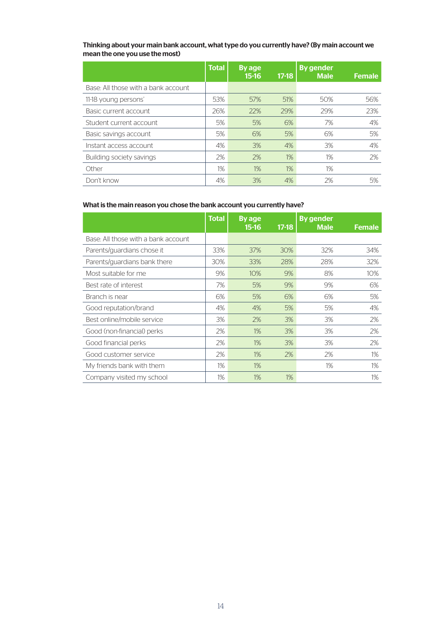#### Thinking about your main bank account, what type do you currently have? (By main account we mean the one you use the most)

|                                     | <b>Total</b> | By age<br>$15-16$ | $17-18$ | <b>By gender</b><br><b>Male</b> | <b>Female</b> |
|-------------------------------------|--------------|-------------------|---------|---------------------------------|---------------|
| Base: All those with a bank account |              |                   |         |                                 |               |
| 11-18 young persons'                | 53%          | 57%               | 51%     | 50%                             | 56%           |
| Basic current account               | 26%          | 22%               | 29%     | 29%                             | 23%           |
| Student current account             | 5%           | 5%                | 6%      | 7%                              | 4%            |
| Basic savings account               | 5%           | 6%                | 5%      | 6%                              | 5%            |
| Instant access account              | 4%           | 3%                | 4%      | 3%                              | 4%            |
| Building society savings            | 2%           | 2%                | 1%      | 1%                              | 2%            |
| Other                               | 1%           | 1%                | 1%      | 1%                              |               |
| Don't know                          | 4%           | 3%                | 4%      | 2%                              | 5%            |

#### What is the main reason you chose the bank account you currently have?

|                                     | <b>Total</b> | <b>By age</b><br>$15 - 16$ | $17-18$ | <b>By gender</b><br><b>Male</b> | <b>Female</b> |
|-------------------------------------|--------------|----------------------------|---------|---------------------------------|---------------|
| Base: All those with a bank account |              |                            |         |                                 |               |
| Parents/guardians chose it          | 33%          | 37%                        | 30%     | 32%                             | 34%           |
| Parents/guardians bank there        | 30%          | 33%                        | 28%     | 28%                             | 32%           |
| Most suitable for me                | 9%           | 10%                        | 9%      | 8%                              | 10%           |
| Best rate of interest               | 7%           | 5%                         | 9%      | 9%                              | 6%            |
| Branch is near                      | 6%           | 5%                         | 6%      | 6%                              | 5%            |
| Good reputation/brand               | 4%           | 4%                         | 5%      | 5%                              | 4%            |
| Best online/mobile service          | 3%           | 2%                         | 3%      | 3%                              | 2%            |
| Good (non-financial) perks          | 2%           | 1%                         | 3%      | 3%                              | 2%            |
| Good financial perks                | 2%           | 1%                         | 3%      | 3%                              | 2%            |
| Good customer service               | 2%           | 1%                         | 2%      | 2%                              | $1\%$         |
| My friends bank with them           | 1%           | 1%                         |         | 1%                              | $1\%$         |
| Company visited my school           | 1%           | 1%                         | 1%      |                                 | $1\%$         |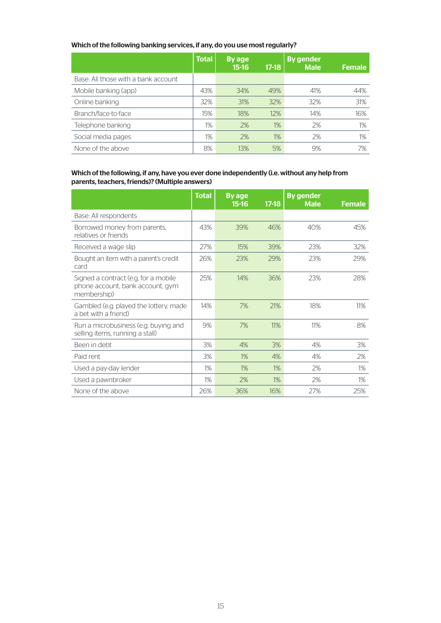#### Which of the following banking services, if any, do you use most regularly?

|                                     | <b>Total</b> | By age<br>$15-16$ | $17-18$ | <b>By gender</b><br><b>Male</b> | <b>Female</b> |
|-------------------------------------|--------------|-------------------|---------|---------------------------------|---------------|
| Base: All those with a bank account |              |                   |         |                                 |               |
| Mobile banking (app)                | 43%          | 34%               | 49%     | 41%                             | 44%           |
| Online banking                      | 32%          | 31%               | 32%     | 32%                             | 31%           |
| Branch/face-to-face                 | 15%          | 18%               | 12%     | 14%                             | 16%           |
| Telephone banking                   | 1%           | 2%                | 1%      | 2%                              | $1\%$         |
| Social media pages                  | 1%           | 2%                | 1%      | 2%                              | 1%            |
| None of the above                   | 8%           | 13%               | 5%      | 9%                              | 7%            |

#### Which of the following, if any, have you ever done independently (i.e. without any help from parents, teachers, friends)? (Multiple answers)

|                                                                                         | <b>Total</b> | By age<br>$15-16$ | $17 - 18$ | <b>By gender</b><br><b>Male</b> | <b>Female</b> |
|-----------------------------------------------------------------------------------------|--------------|-------------------|-----------|---------------------------------|---------------|
| Base: All respondents                                                                   |              |                   |           |                                 |               |
| Borrowed money from parents,<br>relatives or friends                                    | 43%          | 39%               | 46%       | 40%                             | 45%           |
| Received a wage slip                                                                    | 27%          | 15%               | 39%       | 23%                             | 32%           |
| Bought an item with a parent's credit<br>card                                           | 26%          | 23%               | 29%       | 23%                             | 29%           |
| Signed a contract (e.g. for a mobile<br>phone account, bank account, gym<br>membership) | 25%          | 14%               | 36%       | 23%                             | 28%           |
| Gambled (e.g. played the lottery, made<br>a bet with a friend)                          | 14%          | 7%                | 21%       | 18%                             | 11%           |
| Run a microbusiness (e.g. buying and<br>selling items, running a stall)                 | 9%           | 7%                | 11%       | 11%                             | 8%            |
| Been in debt                                                                            | 3%           | 4%                | 3%        | 4%                              | 3%            |
| Paid rent                                                                               | 3%           | $1\%$             | 4%        | 4%                              | 2%            |
| Used a pay-day lender                                                                   | 1%           | 1%                | 1%        | 2%                              | $1\%$         |
| Used a pawnbroker                                                                       | 1%           | 2%                | $1\%$     | 2%                              | $1\%$         |
| None of the above                                                                       | 26%          | 36%               | 16%       | 27%                             | 25%           |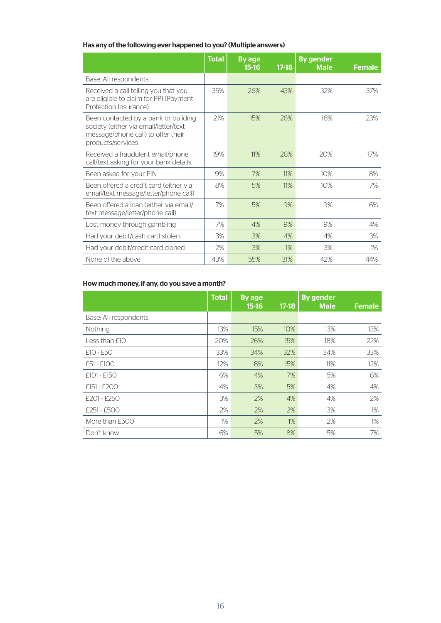#### Has any of the following ever happened to you? (Multiple answers)

|                                                                                                                                          | <b>Total</b> | By age<br>$15 - 16$ | $17 - 18$ | <b>By gender</b><br><b>Male</b> | <b>Female</b> |
|------------------------------------------------------------------------------------------------------------------------------------------|--------------|---------------------|-----------|---------------------------------|---------------|
| Base: All respondents                                                                                                                    |              |                     |           |                                 |               |
| Received a call telling you that you<br>are eligible to claim for PPI (Payment<br>Protection Insurance)                                  | 35%          | 26%                 | 43%       | 32%                             | 37%           |
| Been contacted by a bank or building<br>society (either via email/letter/text<br>message/phone call) to offer their<br>products/services | 21%          | 15%                 | 26%       | 18%                             | 23%           |
| Received a fraudulent email/phone<br>call/text asking for your bank details                                                              | 19%          | 11%                 | 26%       | 20%                             | 17%           |
| Been asked for your PIN                                                                                                                  | 9%           | 7%                  | 11%       | 10%                             | 8%            |
| Been offered a credit card (either via<br>email/text message/letter/phone call)                                                          | 8%           | 5%                  | 11%       | 10%                             | 7%            |
| Been offered a loan (either via email/<br>text message/letter/phone call)                                                                | 7%           | 5%                  | 9%        | 9%                              | 6%            |
| Lost money through gambling                                                                                                              | 7%           | 4%                  | 9%        | 9%                              | 4%            |
| Had your debit/cash card stolen                                                                                                          | 3%           | 3%                  | 4%        | 4%                              | 3%            |
| Had your debit/credit card cloned                                                                                                        | 2%           | 3%                  | $1\%$     | 3%                              | $1\%$         |
| None of the above                                                                                                                        | 43%          | 55%                 | 31%       | 42%                             | 44%           |

#### How much money, if any, do you save a month?

|                       | <b>Total</b> | By age<br>$15 - 16$ | $17-18$ | <b>By gender</b><br><b>Male</b> | <b>Female</b> |
|-----------------------|--------------|---------------------|---------|---------------------------------|---------------|
| Base: All respondents |              |                     |         |                                 |               |
| Nothing               | 13%          | 15%                 | 10%     | 13%                             | 13%           |
| Less than £10         | 20%          | 26%                 | 15%     | 18%                             | 22%           |
| $£10 - £50$           | 33%          | 34%                 | 32%     | 34%                             | 33%           |
| £51 - £100            | 12%          | 8%                  | 15%     | 11%                             | 12%           |
| $£101 - £150$         | 6%           | 4%                  | 7%      | 5%                              | 6%            |
| $£151 - £200$         | 4%           | 3%                  | 5%      | 4%                              | 4%            |
| $f201 - f250$         | 3%           | 2%                  | 4%      | 4%                              | 2%            |
| £251 - £500           | 2%           | 2%                  | 2%      | 3%                              | 1%            |
| More than £500        | 1%           | 2%                  | 1%      | 2%                              | $1\%$         |
| Don't know            | 6%           | 5%                  | 8%      | 5%                              | 7%            |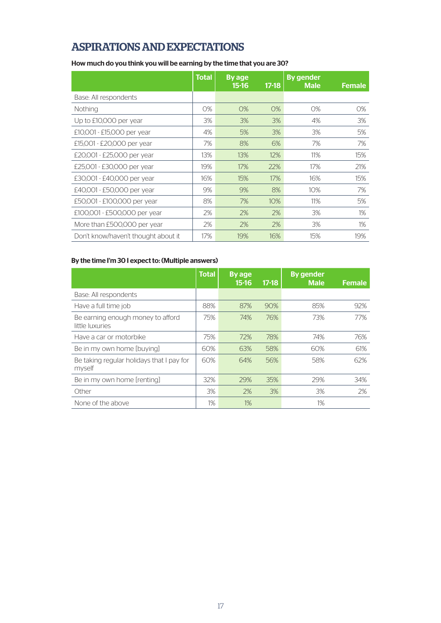# ASPIRATIONS AND EXPECTATIONS

#### How much do you think you will be earning by the time that you are 30?

|                                     | <b>Total</b> | By age<br>$15-16$ | $17 - 18$ | <b>By gender</b><br><b>Male</b> | <b>Female</b> |
|-------------------------------------|--------------|-------------------|-----------|---------------------------------|---------------|
| Base: All respondents               |              |                   |           |                                 |               |
| Nothing                             | 0%           | 0%                | 0%        | 0%                              | 0%            |
| Up to £10,000 per year              | 3%           | 3%                | 3%        | 4%                              | 3%            |
| £10,001 - £15,000 per year          | 4%           | 5%                | 3%        | 3%                              | 5%            |
| £15,001 - £20,000 per year          | 7%           | 8%                | 6%        | 7%                              | 7%            |
| £20,001 - £25,000 per year          | 13%          | 13%               | 12%       | 11%                             | 15%           |
| £25,001 - £30,000 per year          | 19%          | 17%               | 22%       | 17%                             | 21%           |
| £30,001 - £40,000 per year          | 16%          | 15%               | 17%       | 16%                             | 15%           |
| £40,001 - £50,000 per year          | 9%           | 9%                | 8%        | 10%                             | 7%            |
| £50,001 - £100,000 per year         | 8%           | 7%                | 10%       | 11%                             | 5%            |
| £100,001 - £500,000 per year        | 2%           | 2%                | 2%        | 3%                              | 1%            |
| More than £500,000 per year         | 2%           | 2%                | 2%        | 3%                              | 1%            |
| Don't know/haven't thought about it | 17%          | 19%               | 16%       | 15%                             | 19%           |

#### By the time I'm 30 I expect to: (Multiple answers)

|                                                      | <b>Total</b> | By age<br>$15-16$ | $17-18$ | <b>By gender</b><br><b>Male</b> | <b>Female</b> |
|------------------------------------------------------|--------------|-------------------|---------|---------------------------------|---------------|
| Base: All respondents                                |              |                   |         |                                 |               |
| Have a full time job                                 | 88%          | 87%               | 90%     | 85%                             | 92%           |
| Be earning enough money to afford<br>little luxuries | 75%          | 74%               | 76%     | 73%                             | 77%           |
| Have a car or motorbike                              | 75%          | 72%               | 78%     | 74%                             | 76%           |
| Be in my own home [buying]                           | 60%          | 63%               | 58%     | 60%                             | 61%           |
| Be taking regular holidays that I pay for<br>myself  | 60%          | 64%               | 56%     | 58%                             | 62%           |
| Be in my own home [renting]                          | 32%          | 29%               | 35%     | 29%                             | 34%           |
| Other                                                | 3%           | 2%                | 3%      | 3%                              | 2%            |
| None of the above                                    | 1%           | 1%                |         | 1%                              |               |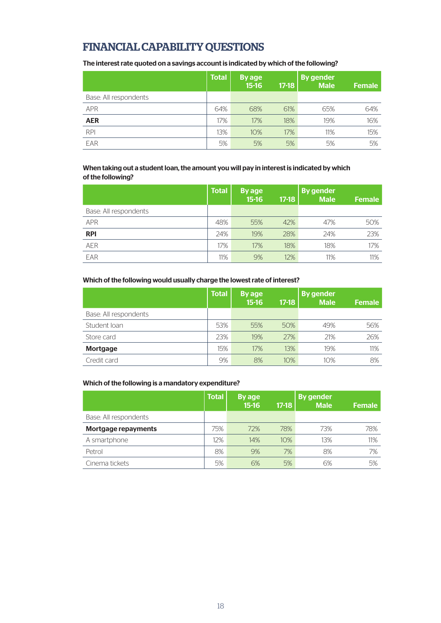# FINANCIAL CAPABILITY QUESTIONS

The interest rate quoted on a savings account is indicated by which of the following?

|                       | <b>Total</b> | By age<br>$15 - 16$ | $17 - 18$ | <b>By gender</b><br><b>Male</b> | <b>Female</b> |
|-----------------------|--------------|---------------------|-----------|---------------------------------|---------------|
| Base: All respondents |              |                     |           |                                 |               |
| <b>APR</b>            | 64%          | 68%                 | 61%       | 65%                             | 64%           |
| <b>AER</b>            | 17%          | 17%                 | 18%       | 19%                             | 16%           |
| <b>RPI</b>            | 13%          | 10%                 | 17%       | 11%                             | 15%           |
| EAR                   | 5%           | 5%                  | 5%        | 5%                              | 5%            |

#### When taking out a student loan, the amount you will pay in interest is indicated by which of the following?

|                       | <b>Total</b> | By age<br>$15 - 16$ | $17-18$ | By gender<br><b>Male</b> | <b>Female</b> |
|-----------------------|--------------|---------------------|---------|--------------------------|---------------|
| Base: All respondents |              |                     |         |                          |               |
| <b>APR</b>            | 48%          | 55%                 | 42%     | 47%                      | 50%           |
| <b>RPI</b>            | 24%          | 19%                 | 28%     | 24%                      | 23%           |
| <b>AER</b>            | 17%          | 17%                 | 18%     | 18%                      | 17%           |
| EAR                   | 11%          | 9%                  | 12%     | 11%                      | 11%           |

#### Which of the following would usually charge the lowest rate of interest?

|                       | <b>Total</b> | By age<br>$15 - 16$ | $17-18$ | <b>By gender</b><br><b>Male</b> | <b>Female</b> |
|-----------------------|--------------|---------------------|---------|---------------------------------|---------------|
| Base: All respondents |              |                     |         |                                 |               |
| Student Ioan          | 53%          | 55%                 | 50%     | 49%                             | 56%           |
| Store card            | 23%          | 19%                 | 27%     | 21%                             | 26%           |
| <b>Mortgage</b>       | 15%          | 17%                 | 13%     | 19%                             | 11%           |
| Credit card           | 9%           | 8%                  | 10%     | 10%                             | 8%            |
|                       |              |                     |         |                                 |               |

#### Which of the following is a mandatory expenditure?

|                       | <b>Total</b> | By age<br>$15-16$ | $17-18$ | <b>By gender</b><br><b>Male</b> | <b>Female</b> |
|-----------------------|--------------|-------------------|---------|---------------------------------|---------------|
| Base: All respondents |              |                   |         |                                 |               |
| Mortgage repayments   | 75%          | 72%               | 78%     | 73%                             | 78%           |
| A smartphone          | 12%          | 14%               | 10%     | 13%                             | 11%           |
| Petrol                | 8%           | 9%                | 7%      | 8%                              | 7%            |
| Cinema tickets        | 5%           | 6%                | 5%      | 6%                              | 5%            |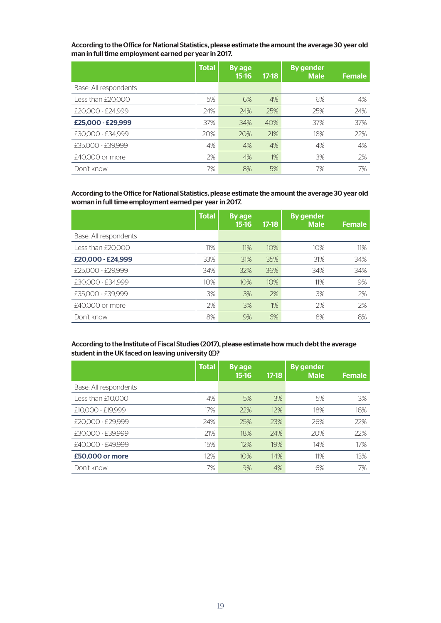According to the Office for National Statistics, please estimate the amount the average 30 year old man in full time employment earned per year in 2017.

|                       | <b>Total</b> | By age<br>$15 - 16$ | $17-18$ | <b>By gender</b><br><b>Male</b> | <b>Female</b> |
|-----------------------|--------------|---------------------|---------|---------------------------------|---------------|
| Base: All respondents |              |                     |         |                                 |               |
| Less than £20,000     | 5%           | 6%                  | 4%      | 6%                              | 4%            |
| £20,000 - £24,999     | 24%          | 24%                 | 25%     | 25%                             | 24%           |
| £25,000 - £29,999     | 37%          | 34%                 | 40%     | 37%                             | 37%           |
| £30,000 - £34,999     | 20%          | 20%                 | 21%     | 18%                             | 22%           |
| £35,000 - £39,999     | 4%           | 4%                  | 4%      | 4%                              | 4%            |
| £40,000 or more       | 2%           | 4%                  | 1%      | 3%                              | 2%            |
| Don't know            | 7%           | 8%                  | 5%      | 7%                              | 7%            |

According to the Office for National Statistics, please estimate the amount the average 30 year old woman in full time employment earned per year in 2017.

|                       | <b>Total</b> | By age<br>$15-16$ | $17-18$ | <b>By gender</b><br><b>Male</b> | <b>Female</b> |
|-----------------------|--------------|-------------------|---------|---------------------------------|---------------|
| Base: All respondents |              |                   |         |                                 |               |
| Less than £20,000     | 11%          | 11%               | 10%     | 10%                             | 11%           |
| £20,000 - £24,999     | 33%          | 31%               | 35%     | 31%                             | 34%           |
| £25,000 - £29,999     | 34%          | 32%               | 36%     | 34%                             | 34%           |
| £30,000 - £34,999     | 10%          | 10%               | 10%     | 11%                             | 9%            |
| £35,000 - £39,999     | 3%           | 3%                | 2%      | 3%                              | 2%            |
| £40,000 or more       | 2%           | 3%                | 1%      | 2%                              | 2%            |
| Don't know            | 8%           | 9%                | 6%      | 8%                              | 8%            |

#### According to the Institute of Fiscal Studies (2017), please estimate how much debt the average student in the UK faced on leaving university (£)?

|                       | <b>Total</b> | By age<br>$15 - 16$ | $17-18$ | <b>By gender</b><br><b>Male</b> | <b>Female</b> |
|-----------------------|--------------|---------------------|---------|---------------------------------|---------------|
| Base: All respondents |              |                     |         |                                 |               |
| Less than £10,000     | 4%           | 5%                  | 3%      | 5%                              | 3%            |
| £10,000 - £19,999     | 17%          | 22%                 | 12%     | 18%                             | 16%           |
| £20,000 - £29,999     | 24%          | 25%                 | 23%     | 26%                             | 22%           |
| £30,000 - £39,999     | 21%          | 18%                 | 24%     | 20%                             | 22%           |
| £40,000 - £49,999     | 15%          | 12%                 | 19%     | 14%                             | 17%           |
| £50,000 or more       | 12%          | 10%                 | 14%     | 11%                             | 13%           |
| Don't know            | 7%           | 9%                  | 4%      | 6%                              | 7%            |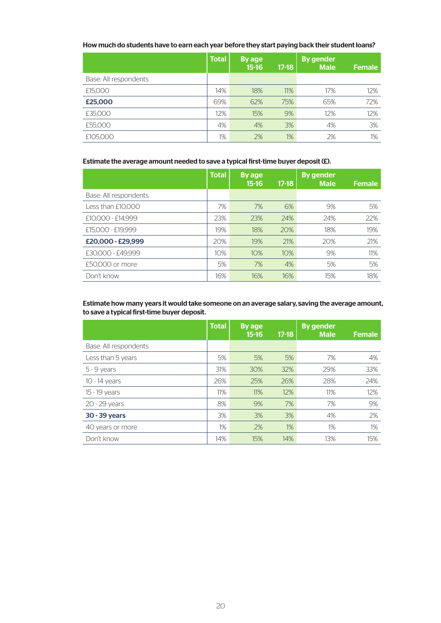#### How much do students have to earn each year before they start paying back their student loans?

|                       | <b>Total</b> | By age<br>$15 - 16$ | $17-18$ | <b>By gender</b><br><b>Male</b> | <b>Female</b> |
|-----------------------|--------------|---------------------|---------|---------------------------------|---------------|
| Base: All respondents |              |                     |         |                                 |               |
| £15,000               | 14%          | 18%                 | 11%     | 17%                             | 12%           |
| £25,000               | 69%          | 62%                 | 75%     | 65%                             | 72%           |
| £35,000               | 12%          | 15%                 | 9%      | 12%                             | 12%           |
| £55,000               | 4%           | 4%                  | 3%      | 4%                              | 3%            |
| £105,000              | 1%           | 2%                  | 1%      | 2%                              | $1\%$         |

#### Estimate the average amount needed to save a typical first-time buyer deposit (£).

|                       | <b>Total</b> | By age<br>$15-16$ | $17-18$ | <b>By gender</b><br><b>Male</b> | Female |
|-----------------------|--------------|-------------------|---------|---------------------------------|--------|
| Base: All respondents |              |                   |         |                                 |        |
| Less than £10,000     | 7%           | 7%                | 6%      | 9%                              | 5%     |
| £10,000 - £14,999     | 23%          | 23%               | 24%     | 24%                             | 22%    |
| £15,000 - £19,999     | 19%          | 18%               | 20%     | 18%                             | 19%    |
| £20,000 - £29,999     | 20%          | 19%               | 21%     | 20%                             | 21%    |
| £30,000 - £49,999     | 10%          | 10%               | 10%     | 9%                              | 11%    |
| £50,000 or more       | 5%           | 7%                | 4%      | 5%                              | 5%     |
| Don't know            | 16%          | 16%               | 16%     | 15%                             | 18%    |

#### Estimate how many years it would take someone on an average salary, saving the average amount, to save a typical first-time buyer deposit.

|                       | <b>Total</b> | <b>By age</b><br>$15 - 16$ | $17-18$ | <b>By gender</b><br><b>Male</b> | Female |
|-----------------------|--------------|----------------------------|---------|---------------------------------|--------|
| Base: All respondents |              |                            |         |                                 |        |
| Less than 5 years     | 5%           | 5%                         | 5%      | 7%                              | 4%     |
| $5 - 9$ years         | 31%          | 30%                        | 32%     | 29%                             | 33%    |
| 10 - 14 years         | 26%          | 25%                        | 26%     | 28%                             | 24%    |
| 15 - 19 years         | 11%          | 11%                        | 12%     | 11%                             | 12%    |
| 20 - 29 years         | 8%           | 9%                         | 7%      | 7%                              | 9%     |
| 30 - 39 years         | 3%           | 3%                         | 3%      | 4%                              | 2%     |
| 40 years or more      | $1\%$        | 2%                         | 1%      | 1%                              | $1\%$  |
| Don't know            | 14%          | 15%                        | 14%     | 13%                             | 15%    |